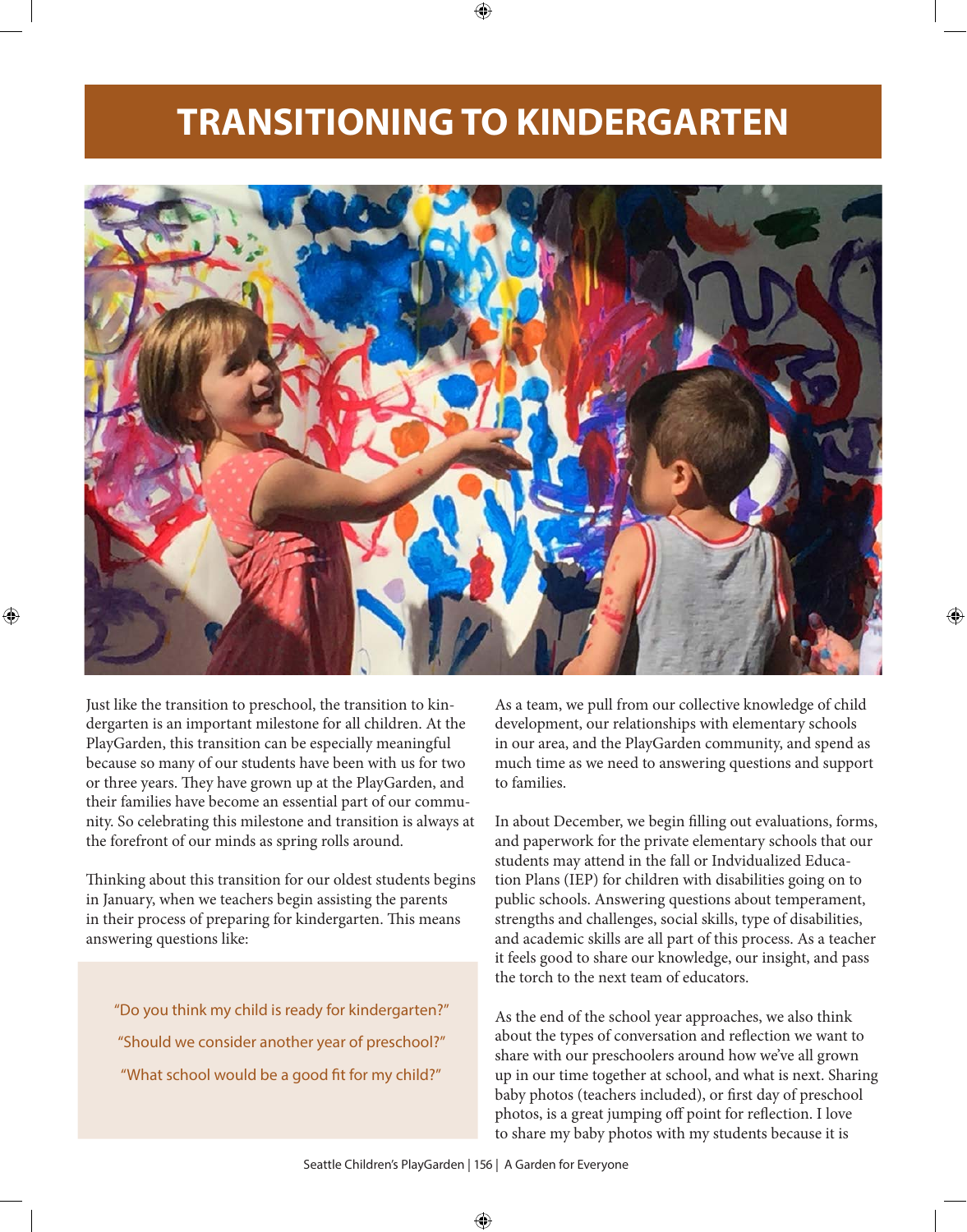## **TRANSITIONING TO KINDERGARTEN**



Just like the transition to preschool, the transition to kindergarten is an important milestone for all children. At the PlayGarden, this transition can be especially meaningful because so many of our students have been with us for two or three years. They have grown up at the PlayGarden, and their families have become an essential part of our community. So celebrating this milestone and transition is always at the forefront of our minds as spring rolls around.

Thinking about this transition for our oldest students begins in January, when we teachers begin assisting the parents in their process of preparing for kindergarten. This means answering questions like:

"Do you think my child is ready for kindergarten?" "Should we consider another year of preschool?" "What school would be a good fit for my child?"

As a team, we pull from our collective knowledge of child development, our relationships with elementary schools in our area, and the PlayGarden community, and spend as much time as we need to answering questions and support to families.

In about December, we begin filling out evaluations, forms, and paperwork for the private elementary schools that our students may attend in the fall or Indvidualized Education Plans (IEP) for children with disabilities going on to public schools. Answering questions about temperament, strengths and challenges, social skills, type of disabilities, and academic skills are all part of this process. As a teacher it feels good to share our knowledge, our insight, and pass the torch to the next team of educators.

As the end of the school year approaches, we also think about the types of conversation and reflection we want to share with our preschoolers around how we've all grown up in our time together at school, and what is next. Sharing baby photos (teachers included), or first day of preschool photos, is a great jumping off point for reflection. I love to share my baby photos with my students because it is